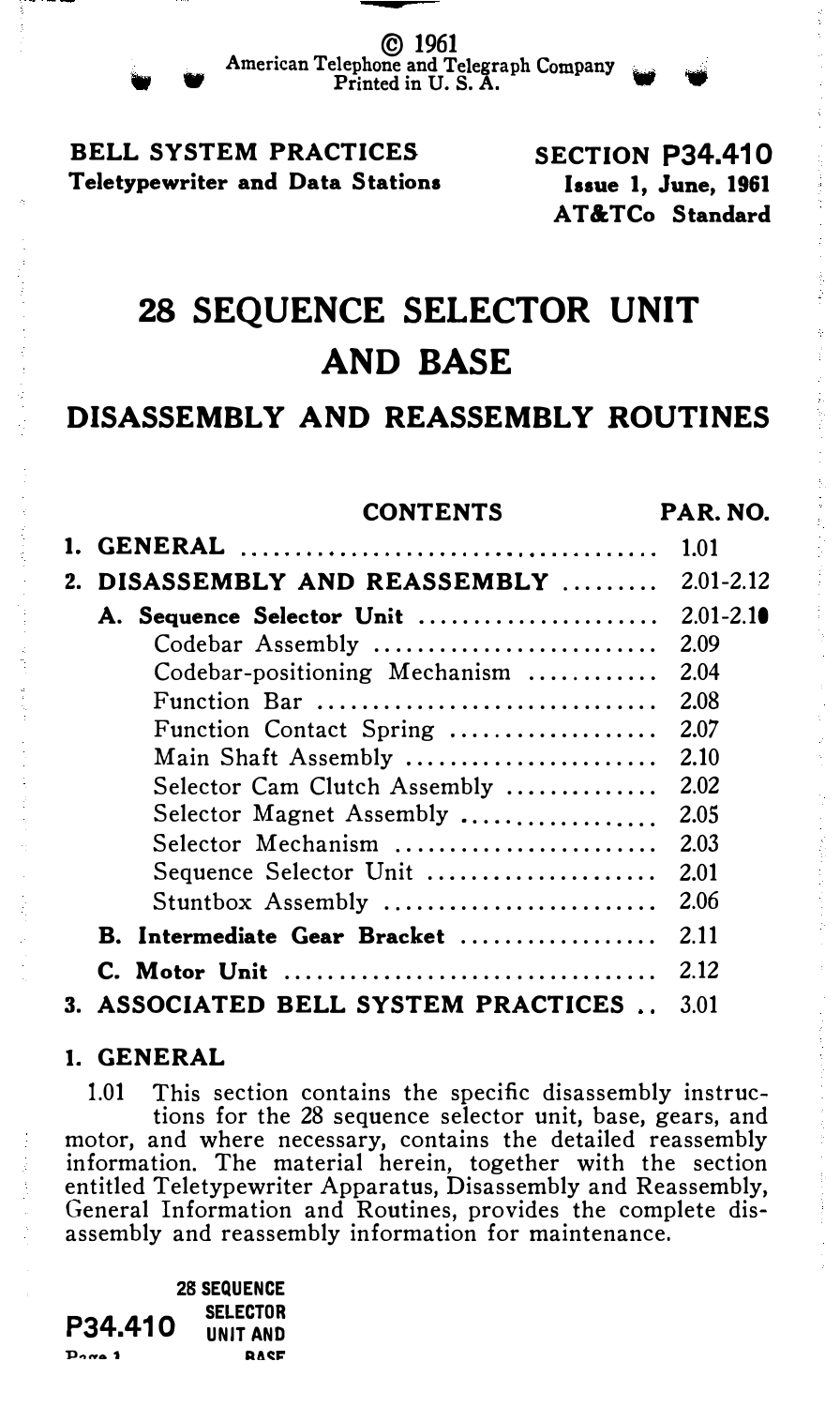© 1961 American Telephone and Telegraph Company<br>Printed in U.S. A.

# BELL SYSTEM PRACTICES Teletypewriter and Data Stations

SECTION P34.410 Issue 1, June, 1961 AT &TCo Standard

# 28 SEQUENCE SELECTOR UNIT AND BASE

# DISASSEMBLY AND REASSEMBLY ROUTINES

|  | <b>CONTENTS</b>                     | PAR. NO.      |
|--|-------------------------------------|---------------|
|  |                                     | 1.01          |
|  | 2. DISASSEMBLY AND REASSEMBLY       | $2.01 - 2.12$ |
|  | A. Sequence Selector Unit           | $2.01 - 2.10$ |
|  | Codebar Assembly                    | 2.09          |
|  | Codebar-positioning Mechanism       | 2.04          |
|  | Function Bar                        | 2.08          |
|  | Function Contact Spring             | 2.07          |
|  | Main Shaft Assembly                 | 2.10          |
|  | Selector Cam Clutch Assembly        | 2.02          |
|  | Selector Magnet Assembly            | 2.05          |
|  | Selector Mechanism                  | 2.03          |
|  | Sequence Selector Unit              | 2.01          |
|  | Stuntbox Assembly                   | 2.06          |
|  | B. Intermediate Gear Bracket        | 2.11          |
|  | C. Motor Unit                       | 2.12          |
|  | 3. ASSOCIATED BELL SYSTEM PRACTICES | 3.01          |

### I. GENERAL

1.01 This section contains the specific disassembly instructions for the 28 sequence selector unit, base, gears, and motor, and where necessary, contains the detailed reassembly information. The material herein, together with the section entitled Teletypewriter Apparatus, Disassembly and Reassembly, General Information and Routines, provides the complete disassembly and reassembly information for maintenance.

P34.410  $P<sub>2</sub>$   $\sigma$   $\alpha$  1 28 SEQUENCE **SELECTOR** UNIT AND RAC:.J:'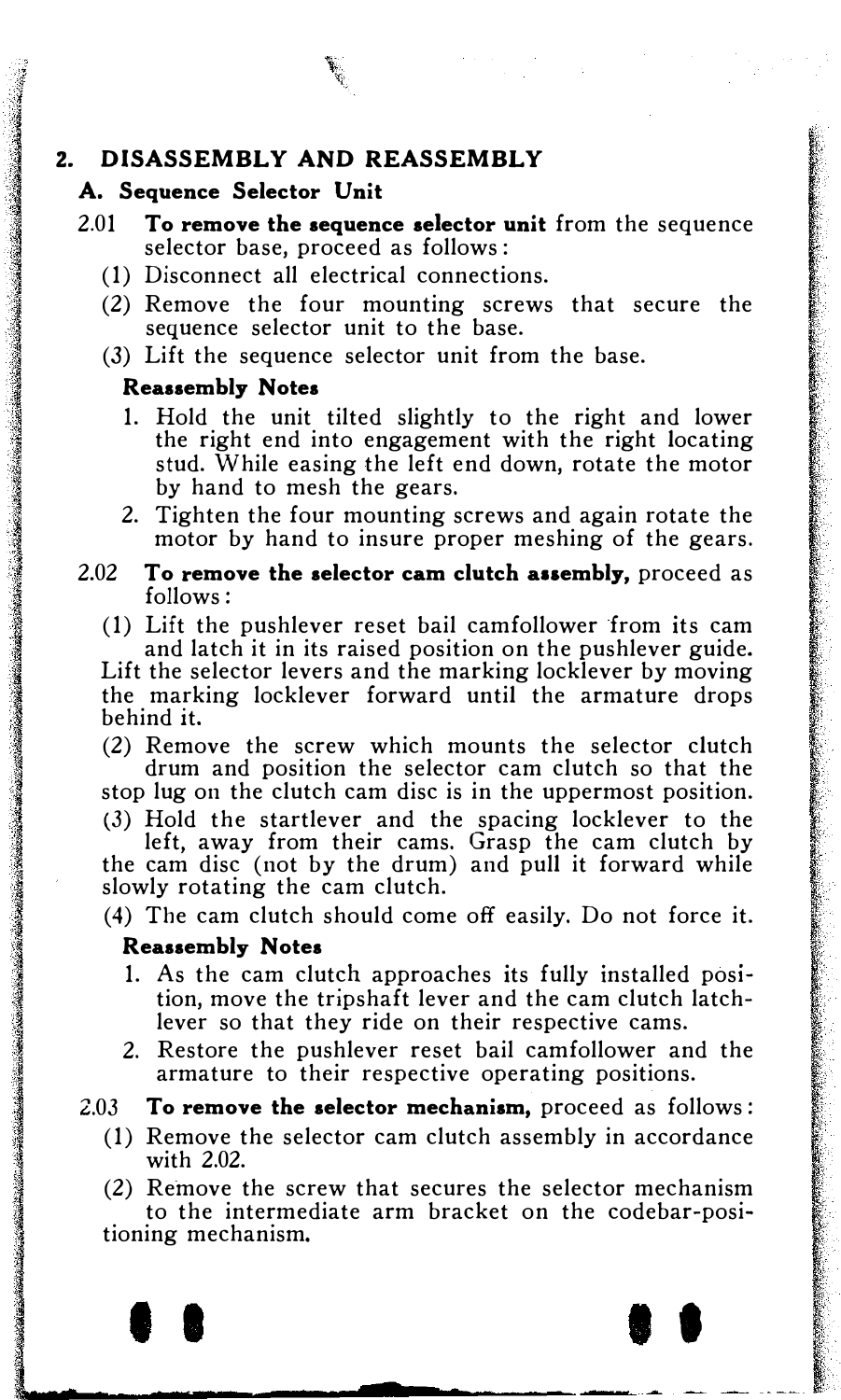# 2. DISASSEMBLY AND REASSEMBLY

#### A. Sequence Selector Unit

- 2.01 To remove the sequence selector unit from the sequence selector base, proceed as follows :
	- (1) Disconnect all electrical connections.
	- (2) Remove the four mounting screws that secure the sequence selector unit to the base.
	- (3) Lift the sequence selector unit from the base.

#### Reassembly Notes

- 1. Hold the unit tilted slightly to the right and lower the right end into engagement with the right locating stud. While easing the left end down, rotate the motor by hand to mesh the gears.
- 2. Tighten the four mounting screws and again rotate the motor by hand to insure proper meshing of the gears.
- $2.02$  To remove the selector cam clutch assembly, proceed as follows:
	- (1) Lift the pushlever reset bail camfollower from its cam and latch it in its raised position on the pushlever guide.

Lift the selector levers and the marking locklever by moving the marking locklever forward until the armature drops behind it.

(2) Remove the screw which mounts the selector clutch drum and position the selector cam clutch so that the

stop lug on the clutch cam disc is in the uppermost position. (3) Hold the startlever and the spacing locklever to the

left, away from their cams. Grasp the cam clutch by the cam disc (not by the drum) and pull it forward while slowly rotating the cam clutch.

1 .. · ę.

(4) The cam clutch should come off easily. Do not force it.

#### Reassembly Notes

1

the angles of

in de la companyation de la companyation de la companyation de la companyation de la companyation de la compa<br>Internacional de la companyation de la companyation de la companyation de la companyation de la companyation d

la senata dan kalifat dan kalifat dan kalifat dan kalifat dan kalifat dan kalifat dan kalifat dan kalifat dan<br>Kalifat dan kalifat dan kalifat dan kalifat dan kalifat dan kalifat dan kalifat dan kalifat dan kalifat dan ka

**Property of the Contract of the Contract of the Contract of the Contract of the Contract of the Contract of t**<br>The Contract of the Contract of the Contract of the Contract of the Contract of the Contract of the Contract

- 1. As the cam clutch approaches its fully installed position, move the tripshaft lever and the cam clutch latchlever so that they ride on their respective cams.
- 2. Restore the pushlever reset bail camfollower and the armature to their respective operating positions.

2.03 To remove the selector mechanism, proceed as follows:

(1) Remove the selector cam clutch assembly in accordance with 2.02.

(2) Remove the screw that secures the selector mechanism to the intermediate arm bracket on the codebar-posi-

..\_l · \_. ---rr �-·� f

tioning mechanism.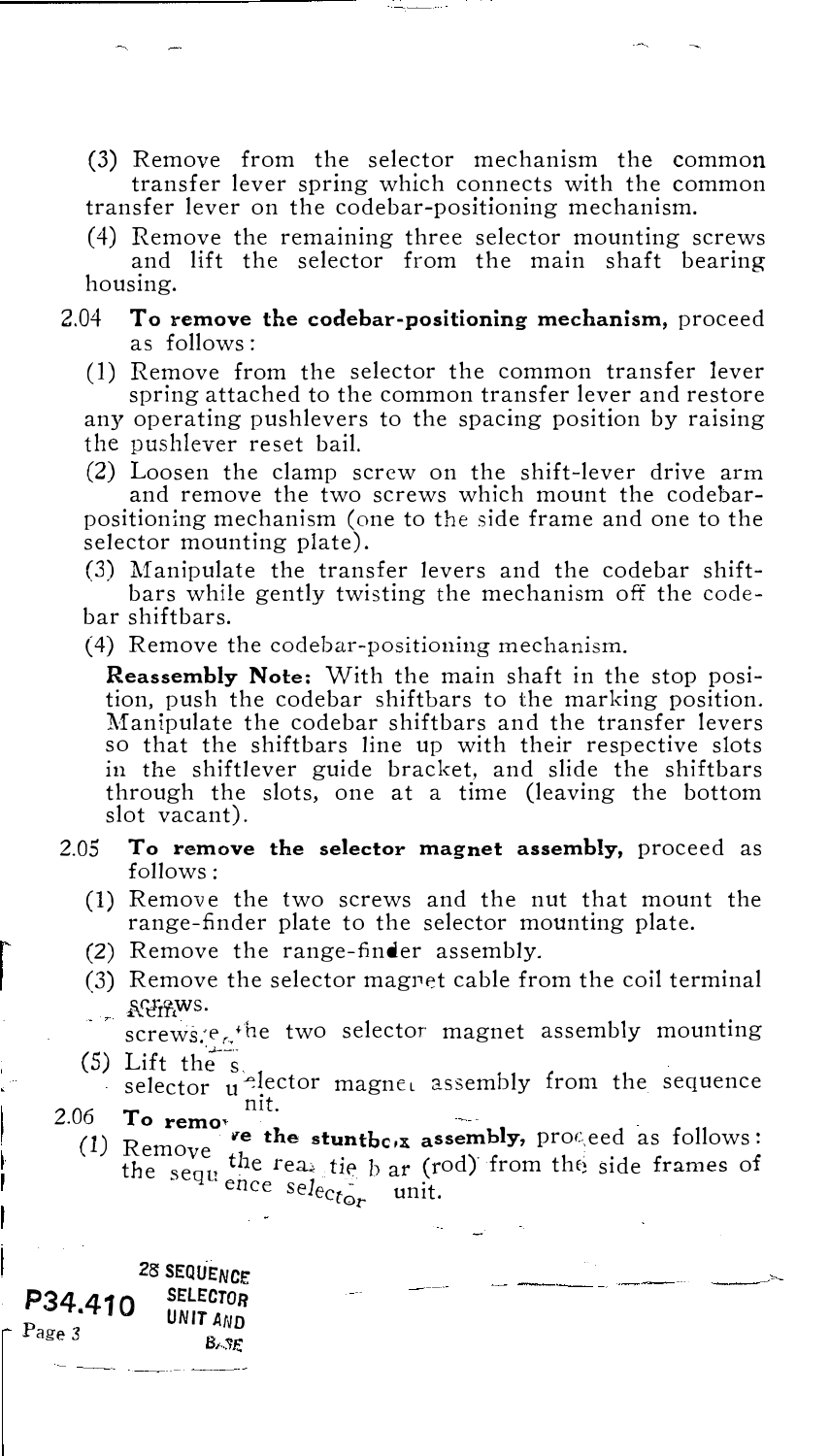(3) Remove from the selector mechanism the common transfer lever spring which connects with the common transfer lever on the codebar-positioning mechanism.

( 4) Remove the remaining three selector mounting screws and lift the selector from the main shaft bearing housing.

#### 2.04 To remove the codebar-positioning mechanism, proceed as follows:

(1) Remove from the selector the common transfer lever spring attached to the common transfer lever and restore

any operating pushlevers to the spacing position by raising the pushlever reset bail.

(2) Loosen the clamp screw on the shift-lever drive arm and remove the two screws which mount the codebarpositioning mechanism (one to the side frame and one to the selector mounting plate).

(3) Manipulate the transfer levers and the codebar shiftbars while gently twisting the mechanism off the codebar shiftbars.

(4) Remove the codebar-positioning mechanism.

Reassembly Note; With the main shaft in the stop position, push the codebar shiftbars to the marking position. Manipulate the codebar shiftbars and the transfer levers so that the shiftbars line up with their respective slots in the shiftlever guide bracket, and slide the shiftbars through the slots, one at a time (leaving the bottom slot vacant).

- 2.05 To remove the selector magnet assembly, proceed as follows :
	- (1) Remove the two screws and the nut that mount the range-finder plate to the selector mounting plate.
	- (2) Remove the range-finder assembly.
	- (3) Remove the selector magnet cable from the coil terminal  $\frac{1}{2}$  and  $\frac{1}{2}$ .

screws.<sup>e</sup> $\kappa$ <sup>the</sup> two selector magnet assembly mounting

- (5) Lift the  $\frac{s}{\text{s}}$  selector  $\frac{1}{n}$  ector magne, assembly from the sequence 2.06  $\mathbf{T}$ o remo<sup>, nit.</sup>
	- (1) Remove the stuntbe<sub>r</sub> assembly, proceed as follows:<br>the sequ<sup>ence selector</sup> and the side frames of<br>ence selector unit. Remove the stunthc<sub> $\alpha$ </sub> assembly, proceed as follows:

28 SEQUENCE<br>SELECTOR P34.410 Page 3 **UNIT AND**<br>Page 3 **BASE**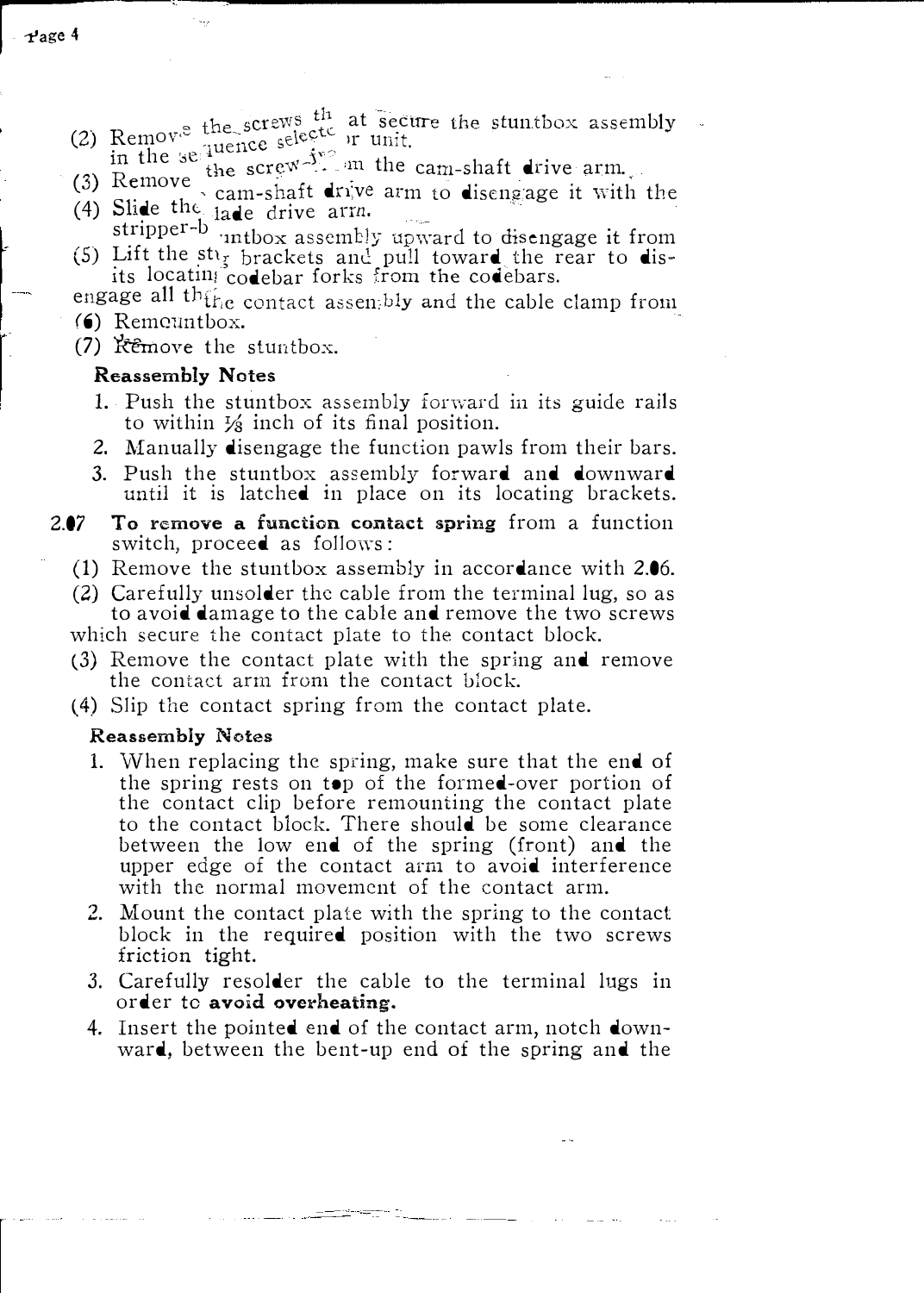- (2) Remov<sup>®</sup> the screws <sup>th</sup> at secure the stuntbox assembly
	-
- (3) Remove the screw<sup>-5</sup> on the cam-shaft drive arm ... (3) Remove the screw<sup>-5</sup> on the cam-shaft drive arm ... (4) Slide the  $i$ ade drive arm.
- stripper-b intbox assembly upward to disengage it from (5) Lift the st<sub>ls</sub> brackets and pull toward the rear to dis-<br>its locatin<sub>i</sub> codebar forks from the codebars.
- engage all th $\mathfrak{f}_{\mathrm{ric}}$  contact assentbly and the cable clamp from (6) Remeantbox.
- $(7)$  Remove the stuntbox.

#### Reassembly Notes

- 1. Push the stuntbox assembly forward in its guide rails to within  $\frac{1}{8}$  inch of its final position.
- 2. Manually disengage the function pawls from their bars.
- 3. Push the stuntbox assembly forward and downward until it is latched in place on its locating brackets.
- 2.07 To remove a function contact spring from a function switch, proceed as follows:
	- (1) Remove the stnntbox assembly in accordance with 2.06.
	- (2) Carefully unsolder the cable from the terminal lug, so as to avoid damage to the cable and remove the two screws

which secure the contact plate to the contact block.

- (3) Remove the contact plate with the spring and remove the contact arm from the contact block.
- (4) Slip the contact spring from the contact plate.

#### Reassembly Notes

- 1. When replacing the spring, make sure that the end of the spring rests on top of the formed-over portion of the contact clip before remounting the contact plate to the contact block. There should be some clearance between the low end of the spring (front) and the upper edge of the contact arm to avoid interference with the normal movement of the contact arm.
- 2. Mount the contact plate with the spring to the contact block in the required position with the two screws friction tight.
- 3. Carefully resolder the cable to the terminal lugs in order to avoid overheating.
- 4. Insert the pointed end of the contact arm, notch downward, between the bent-up end of the spring and the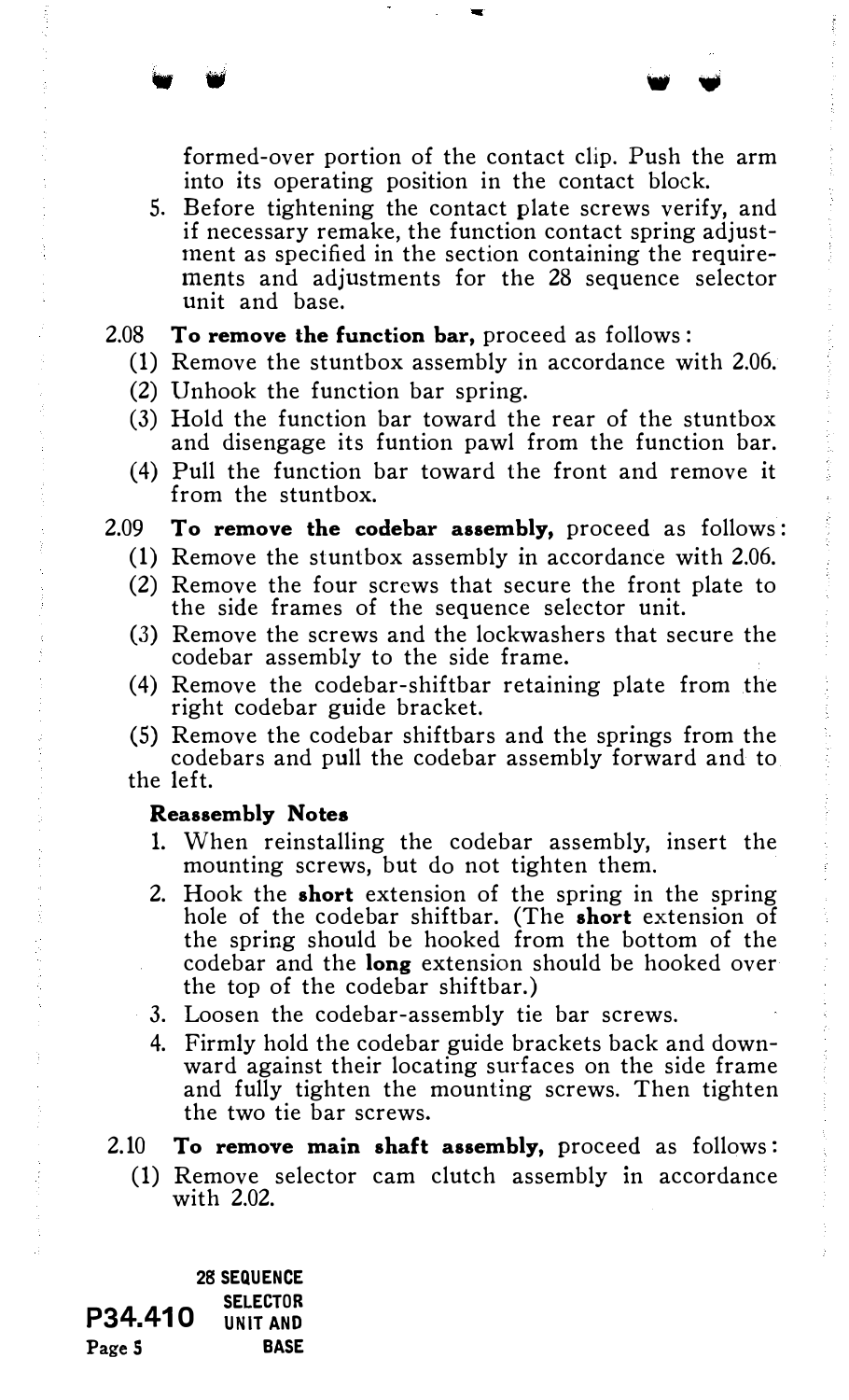formed-over portion of the contact clip. Push the arm into its operating position in the contact block.

5. Before tightening the contact plate screws verify, and if necessary remake, the function contact spring adjustment as specified in the section containing the requirements and adjustments for the 28 sequence selector unit and base.

• w w ..

#### 2.08 To remove the function bar, proceed as follows :

- (1) Remove the stuntbox assembly in accordance with 2.06.
- (2) Unhook the function bar spring.
- (3) Hold the function bar toward the rear of the stuntbox and disengage its funtion pawl from the function bar.
- (4) Pull the function bar toward the front and remove it from the stuntbox.

#### 2.09 To remove the codebar assembly, proceed as follows:

- (1) Remove the stuntbox assembly in accordance with 2.06.
- (2) Remove the four screws that secure the front plate to the side frames of the sequence selector unit.
- (3) Remove the screws and the lockwashers that secure the codebar assembly to the side frame.
- (4) Remove the codebar-shiftbar retaining plate from the right codebar guide bracket.
- (5) Remove the codebar shiftbars and the springs from the codebars and pull the codebar assembly forward and to

the left.

## Reassembly Notes

- 1. When reinstalling the codebar assembly, insert the mounting screws, but do not tighten them.
- 2. Hook the short extension of the spring in the spring hole of the codebar shiftbar. (The **short** extension of the spring should be hooked from the bottom of the codebar and the long extension should be hooked over the top of the codebar shiftbar.)
- 3. Loosen the codebar-assembly tie bar screws.
- 4. Firmly hold the codebar guide brackets back and downward against their locating surfaces on the side frame and fully tighten the mounting screws. Then tighten the two tie bar screws.

2.10 To remove main shaft assembly, proceed as follows:

(1) Remove selector cam clutch assembly in accordance with 2.02.

P34.410 Page 5 28 SEQUENCE SELECTOR UNIT AND BASE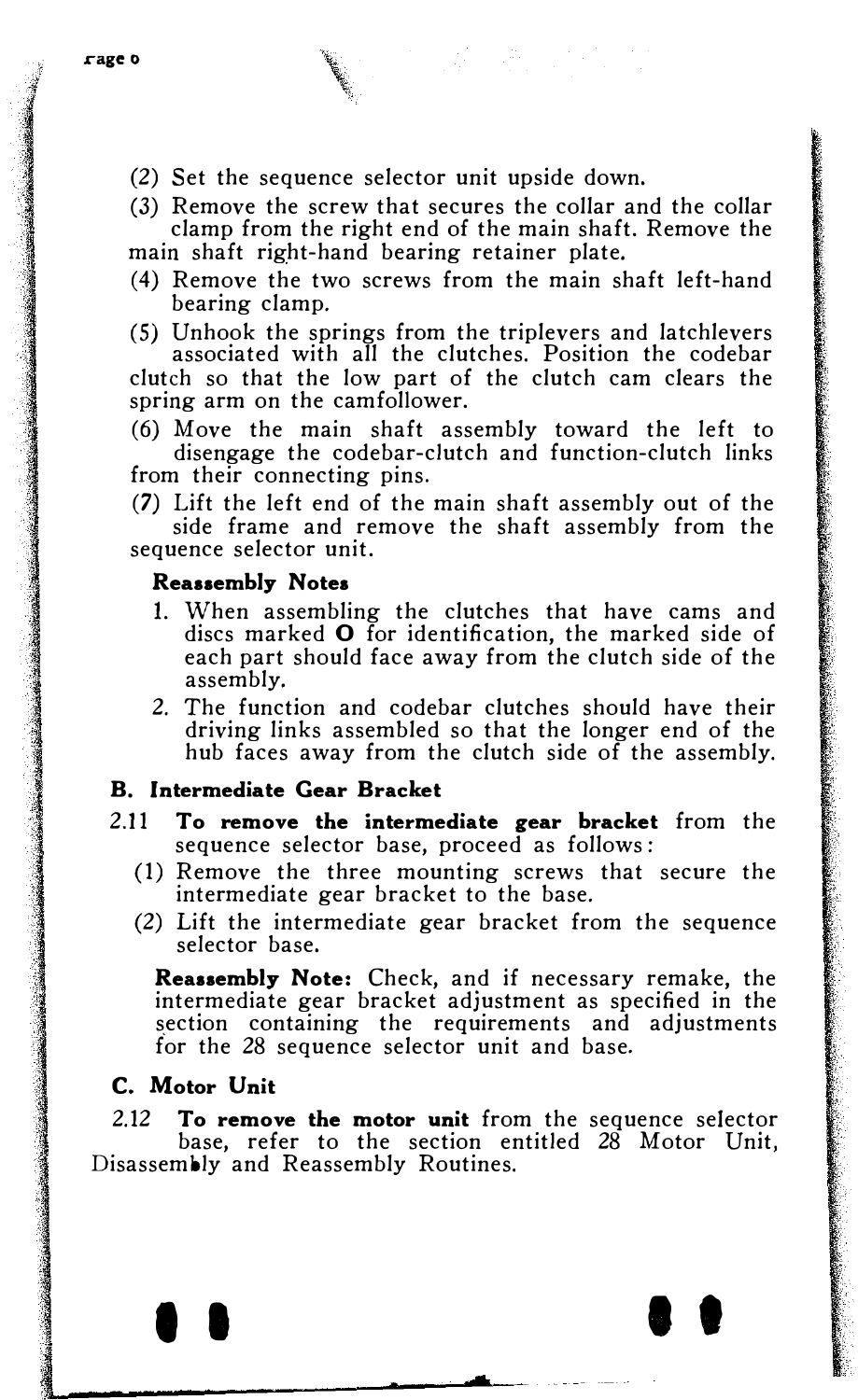(2) Set the sequence selector unit upside down.

(3) Remove the screw that secures the collar and the collar clamp from the right end of the main shaft. Remove the main shaft right-hand bearing retainer plate.

- ( 4) Remove the two screws from the main shaft left-hand bearing clamp.
- (5) Unhook the springs from the triplevers and latchlevers associated with all the clutches. Position the codebar clutch so that the low part of the clutch cam clears the spring arm on the camfollower.
- (6) Move the main shaft assembly toward the left to disengage the codebar-clutch and function-clutch links from their connecting pins.

(7) Lift the left end of the main shaft assembly out of the side frame and remove the shaft assembly from the sequence selector unit.

# Reassembly Notes

- 1. When assembling the clutches that have cams and discs marked 0 for identification, the marked side of each part should face away from the clutch side of the assembly.
- 2. The function and codebar clutches should have their driving links assembled so that the longer end of the hub faces away from the clutch side of the assembly.

# B. Intermediate Gear Bracket

- 2.11 To remove the intermediate gear bracket from the sequence selector base, proceed as follows:
	- (1) Remove the three mounting screws that secure the intermediate gear bracket to the base.
	- (2) Lift the intermediate gear bracket from the sequence selector base.

Reassembly Note: Check, and if necessary remake, the intermediate gear bracket adjustment as specified in the section containing the requirements and adjustments for the 28 sequence selector unit and base.

# C. Motor Unit

2.12 To remove the motor unit from the sequence selector base, refer to the section entitled 28 Motor Unit, Disassembly and Reassembly Routines.

 $\bullet$   $\bullet$   $\bullet$   $\bullet$   $\bullet$   $\bullet$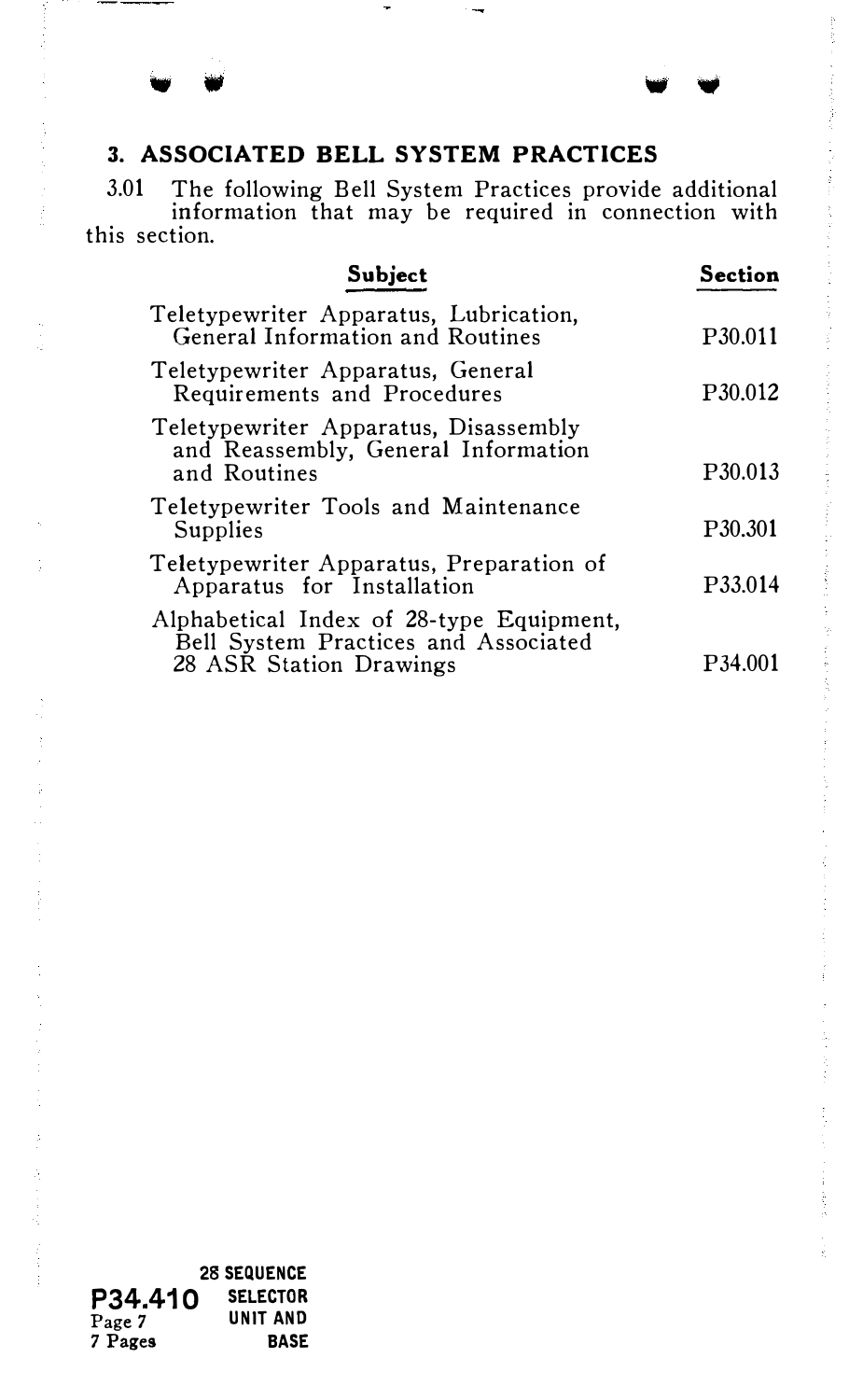# 3. ASSOCIATED BELL SYSTEM PRACTICES

3.01 The following Bell System Practices provide additional information that may be required in connection with this section.

ł

i<br>K

| Subject                                                                                                     | Section             |
|-------------------------------------------------------------------------------------------------------------|---------------------|
| Teletypewriter Apparatus, Lubrication,<br>General Information and Routines                                  | P <sub>30.011</sub> |
| Teletypewriter Apparatus, General<br>Requirements and Procedures                                            | P <sub>30.012</sub> |
| Teletypewriter Apparatus, Disassembly<br>and Reassembly, General Information<br>and Routines                | P <sub>30.013</sub> |
| Teletypewriter Tools and Maintenance<br>Supplies                                                            | P <sub>30.301</sub> |
| Teletypewriter Apparatus, Preparation of<br>Apparatus for Installation                                      | P33.014             |
| Alphabetical Index of 28-type Equipment,<br>Bell System Practices and Associated<br>28 ASR Station Drawings | P34.0               |

28 SEQUENCE P34.410 SELECTOR Page 7 UNIT AND 7 Pages BASE

Ť